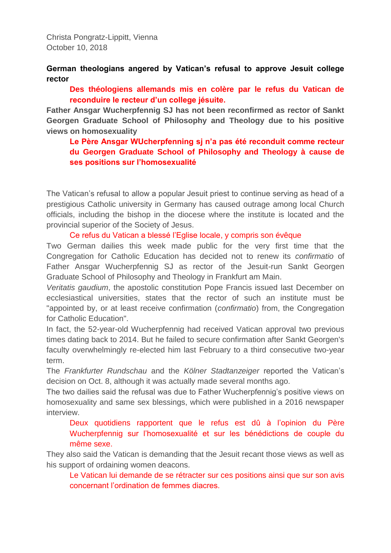Christa Pongratz-Lippitt, Vienna October 10, 2018

**German theologians angered by Vatican's refusal to approve Jesuit college rector** 

**Des théologiens allemands mis en colère par le refus du Vatican de reconduire le recteur d'un college jésuite.**

**Father Ansgar Wucherpfennig SJ has not been reconfirmed as rector of Sankt Georgen Graduate School of Philosophy and Theology due to his positive views on homosexuality** 

**Le Père Ansgar WUcherpfenning sj n'a pas été reconduit comme recteur du Georgen Graduate School of Philosophy and Theology à cause de ses positions sur l'homosexualité**

The Vatican's refusal to allow a popular Jesuit priest to continue serving as head of a prestigious Catholic university in Germany has caused outrage among local Church officials, including the bishop in the diocese where the institute is located and the provincial superior of the Society of Jesus.

Ce refus du Vatican a blessé l'Eglise locale, y compris son évêque

Two German dailies this week made public for the very first time that the Congregation for Catholic Education has decided not to renew its *confirmatio* of Father Ansgar Wucherpfennig SJ as rector of the Jesuit-run Sankt Georgen Graduate School of Philosophy and Theology in Frankfurt am Main.

*Veritatis gaudium*, the apostolic constitution Pope Francis issued last December on ecclesiastical universities, states that the rector of such an institute must be "appointed by, or at least receive confirmation (*confirmatio*) from, the Congregation for Catholic Education".

In fact, the 52-year-old Wucherpfennig had received Vatican approval two previous times dating back to 2014. But he failed to secure confirmation after Sankt Georgen's faculty overwhelmingly re-elected him last February to a third consecutive two-year term.

The *Frankfurter Rundschau* and the *Kölner Stadtanzeiger* reported the Vatican's decision on Oct. 8, although it was actually made several months ago.

The two dailies said the refusal was due to Father Wucherpfennig's positive views on homosexuality and same sex blessings, which were published in a 2016 newspaper interview.

Deux quotidiens rapportent que le refus est dû à l'opinion du Père Wucherpfennig sur l'homosexualité et sur les bénédictions de couple du même sexe.

They also said the Vatican is demanding that the Jesuit recant those views as well as his support of ordaining women deacons.

Le Vatican lui demande de se rétracter sur ces positions ainsi que sur son avis concernant l'ordination de femmes diacres.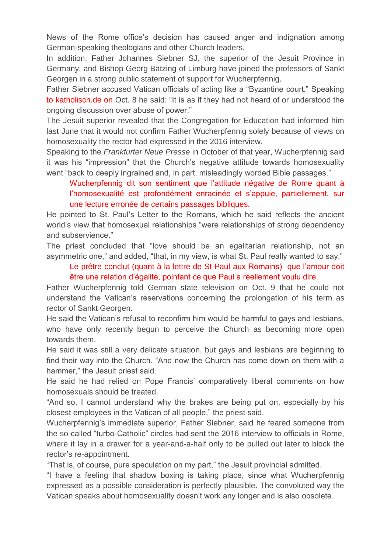News of the Rome office's decision has caused anger and indignation among German-speaking theologians and other Church leaders.

In addition, Father Johannes Siebner SJ, the superior of the Jesuit Province in Germany, and Bishop Georg Bätzing of Limburg have joined the professors of Sankt Georgen in a strong public statement of support for Wucherpfennig.

Father Siebner accused Vatican officials of acting like a "Byzantine court." Speaking to [katholisch.de](http://katholisch.de/) on Oct. 8 he said: "It is as if they had not heard of or understood the ongoing discussion over abuse of power."

The Jesuit superior revealed that the Congregation for Education had informed him last June that it would not confirm Father Wucherpfennig solely because of views on homosexuality the rector had expressed in the 2016 interview.

Speaking to the *Frankfurter Neue Presse* in October of that year, Wucherpfennig said it was his "impression" that the Church's negative attitude towards homosexuality went "back to deeply ingrained and, in part, misleadingly worded Bible passages."

Wucherpfennig dit son sentiment que l'attitude négative de Rome quant à l'homosexualité est profondément enracinée et s'appuie, partiellement, sur une lecture erronée de certains passages bibliques.

He pointed to St. Paul's Letter to the Romans, which he said reflects the ancient world's view that homosexual relationships "were relationships of strong dependency and subservience."

The priest concluded that "love should be an egalitarian relationship, not an asymmetric one," and added, "that, in my view, is what St. Paul really wanted to say."

Le prêtre conclut (quant à la lettre de St Paul aux Romains) que l'amour doit être une relation d'égalité, pointant ce que Paul a réellement voulu dire.

Father Wucherpfennig told German state television on Oct. 9 that he could not understand the Vatican's reservations concerning the prolongation of his term as rector of Sankt Georgen.

He said the Vatican's refusal to reconfirm him would be harmful to gays and lesbians, who have only recently begun to perceive the Church as becoming more open towards them.

He said it was still a very delicate situation, but gays and lesbians are beginning to find their way into the Church. "And now the Church has come down on them with a hammer," the Jesuit priest said.

He said he had relied on Pope Francis' comparatively liberal comments on how homosexuals should be treated.

"And so, I cannot understand why the brakes are being put on, especially by his closest employees in the Vatican of all people," the priest said.

Wucherpfennig's immediate superior, Father Siebner, said he feared someone from the so-called "turbo-Catholic" circles had sent the 2016 interview to officials in Rome, where it lay in a drawer for a year-and-a-half only to be pulled out later to block the rector's re-appointment.

"That is, of course, pure speculation on my part," the Jesuit provincial admitted.

"I have a feeling that shadow boxing is taking place, since what Wucherpfennig expressed as a possible consideration is perfectly plausible. The convoluted way the Vatican speaks about homosexuality doesn't work any longer and is also obsolete.